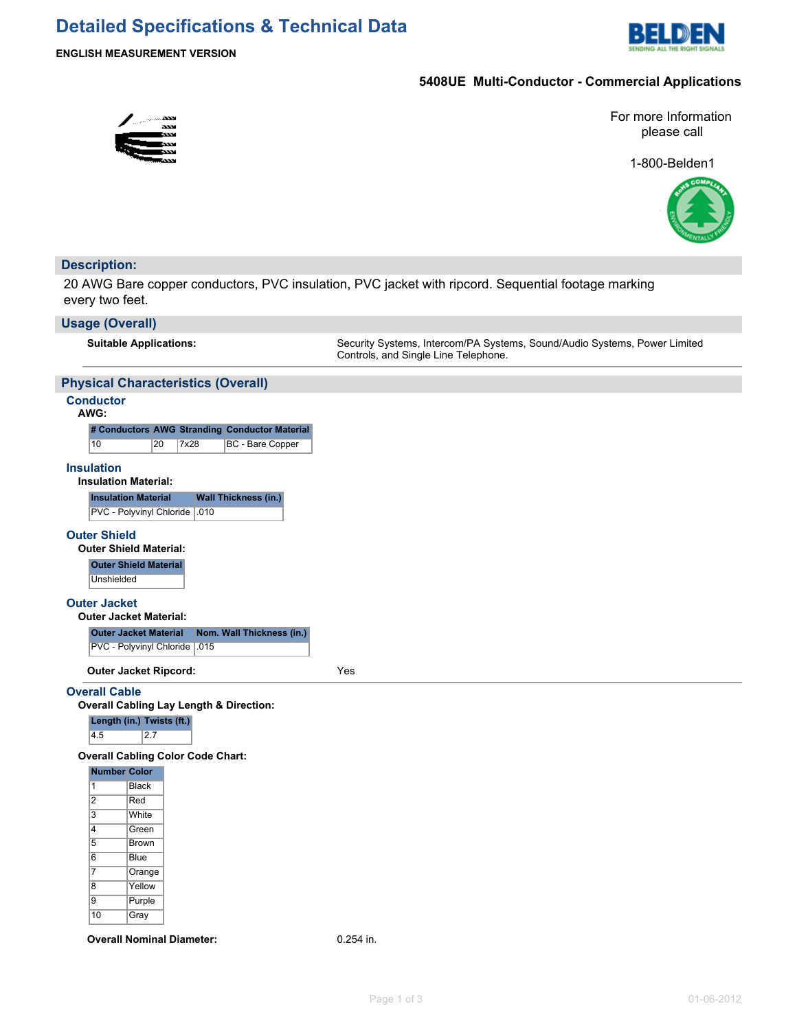## **Detailed Specifications & Technical Data**



## **5408UE Multi-Conductor - Commercial Applications**



For more Information please call

1-800-Belden1



## **Description:**

20 AWG Bare copper conductors, PVC insulation, PVC jacket with ripcord. Sequential footage marking every two feet.

#### **Usage (Overall)**

**Suitable Applications:** Security Systems, Intercom/PA Systems, Sound/Audio Systems, Power Limited Controls, and Single Line Telephone.

### **Physical Characteristics (Overall)**

## **Conductor**

| AWG |  |
|-----|--|
|     |  |

|    |    |      | # Conductors AWG Stranding Conductor Material |
|----|----|------|-----------------------------------------------|
| 10 | 20 | 7x28 | BC - Bare Copper                              |

#### **Insulation**

**Insulation Material:**

| Insulation Material            | <b>Wall Thickness (in.)</b> |  |
|--------------------------------|-----------------------------|--|
| PVC - Polyvinyl Chloride   010 |                             |  |

#### **Outer Shield**

**Outer Shield Material: Outer Shield Material Unshielded** 

#### **Outer Jacket**

|  |  | <b>Outer Jacket Material:</b> |  |
|--|--|-------------------------------|--|
|--|--|-------------------------------|--|

| <b>Outer Jacket Material</b>   | Nom. Wall Thickness (in.) |
|--------------------------------|---------------------------|
| PVC - Polyvinyl Chloride   015 |                           |

**Outer Jacket Ripcord:** Yes

#### **Overall Cable**

**Overall Cabling Lay Length & Direction:**

**Length (in.) Twists (ft.)**

4.5 2.7

**Overall Cabling Color Code Chart:**

| <b>Number Color</b> |              |
|---------------------|--------------|
| 1                   | <b>Black</b> |
| 2                   | Red          |
| 3                   | <b>White</b> |
| 4                   | Green        |
| 5                   | Brown        |
| 6                   | <b>Blue</b>  |
| 7                   | Orange       |
| 8                   | Yellow       |
| 9                   | Purple       |
| 10                  | Gray         |

**Overall Nominal Diameter:** 0.254 in.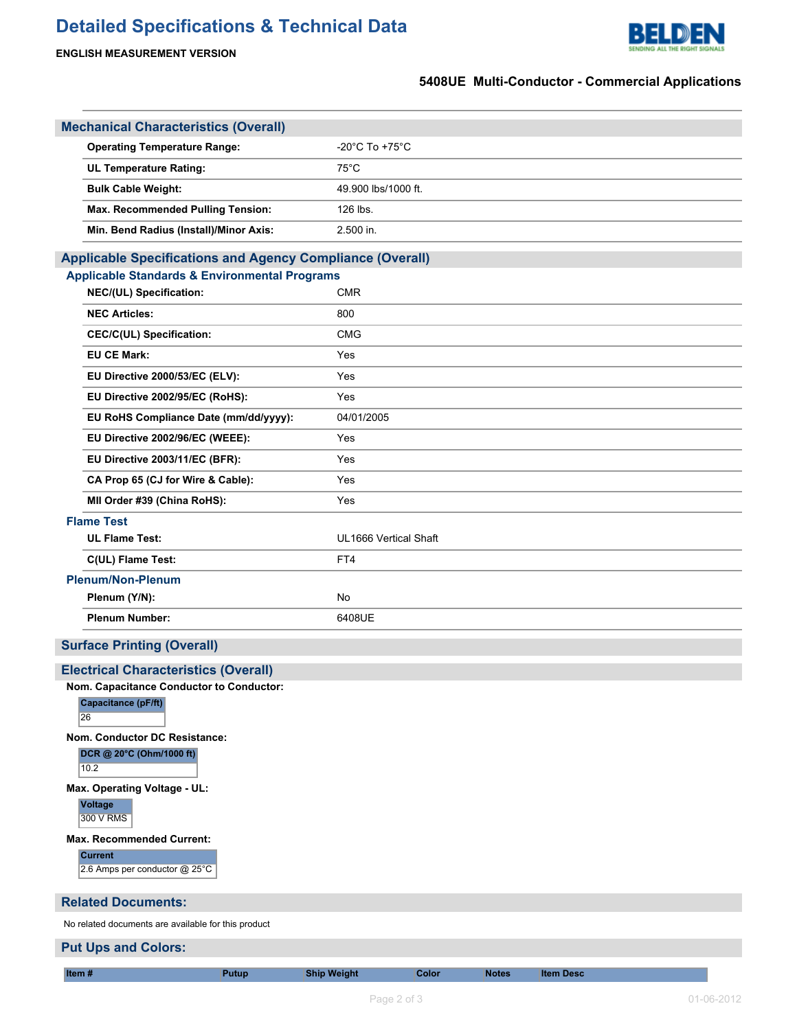# **Detailed Specifications & Technical Data**



**Put Ups and Colors:**



## **5408UE Multi-Conductor - Commercial Applications**

| <b>Mechanical Characteristics (Overall)</b>                                                                                  |                       |
|------------------------------------------------------------------------------------------------------------------------------|-----------------------|
| <b>Operating Temperature Range:</b>                                                                                          | -20°C To +75°C        |
| <b>UL Temperature Rating:</b>                                                                                                | $75^{\circ}$ C        |
| <b>Bulk Cable Weight:</b>                                                                                                    | 49.900 lbs/1000 ft.   |
| <b>Max. Recommended Pulling Tension:</b>                                                                                     | 126 lbs.              |
| Min. Bend Radius (Install)/Minor Axis:                                                                                       | 2.500 in.             |
|                                                                                                                              |                       |
| <b>Applicable Specifications and Agency Compliance (Overall)</b><br><b>Applicable Standards &amp; Environmental Programs</b> |                       |
| NEC/(UL) Specification:                                                                                                      | <b>CMR</b>            |
| <b>NEC Articles:</b>                                                                                                         | 800                   |
| <b>CEC/C(UL) Specification:</b>                                                                                              | <b>CMG</b>            |
| <b>EU CE Mark:</b>                                                                                                           | Yes                   |
| EU Directive 2000/53/EC (ELV):                                                                                               | Yes                   |
| EU Directive 2002/95/EC (RoHS):                                                                                              | Yes                   |
| EU RoHS Compliance Date (mm/dd/yyyy):                                                                                        | 04/01/2005            |
| EU Directive 2002/96/EC (WEEE):                                                                                              | Yes                   |
| EU Directive 2003/11/EC (BFR):                                                                                               | Yes                   |
| CA Prop 65 (CJ for Wire & Cable):                                                                                            | Yes                   |
| MII Order #39 (China RoHS):                                                                                                  | Yes                   |
| <b>Flame Test</b>                                                                                                            |                       |
| <b>UL Flame Test:</b>                                                                                                        | UL1666 Vertical Shaft |
| C(UL) Flame Test:                                                                                                            | FT4                   |
| <b>Plenum/Non-Plenum</b>                                                                                                     |                       |
| Plenum (Y/N):                                                                                                                | No                    |
| <b>Plenum Number:</b>                                                                                                        | 6408UE                |
| <b>Surface Printing (Overall)</b>                                                                                            |                       |
| <b>Electrical Characteristics (Overall)</b>                                                                                  |                       |
| Nom. Capacitance Conductor to Conductor:                                                                                     |                       |
| Capacitance (pF/ft)<br>26                                                                                                    |                       |
| Nom. Conductor DC Resistance:<br>DCR @ 20°C (Ohm/1000 ft)<br>10.2                                                            |                       |
| Max. Operating Voltage - UL:<br><b>Voltage</b><br>300 V RMS                                                                  |                       |
| <b>Max. Recommended Current:</b><br><b>Current</b><br>2.6 Amps per conductor @ 25°C                                          |                       |
| <b>Related Documents:</b>                                                                                                    |                       |
| No related documents are available for this product                                                                          |                       |

**Item # Putup Ship Weight Color Notes Item Desc**